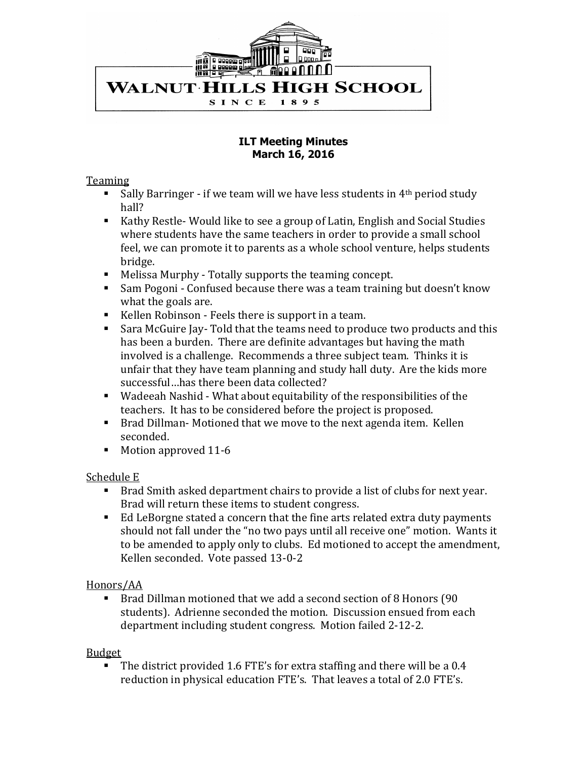

#### **ILT Meeting Minutes March 16, 2016**

### Teaming

- Sally Barringer if we team will we have less students in  $4<sup>th</sup>$  period study hall?
- Kathy Restle- Would like to see a group of Latin, English and Social Studies where students have the same teachers in order to provide a small school feel, we can promote it to parents as a whole school venture, helps students bridge.
- Melissa Murphy Totally supports the teaming concept.
- Sam Pogoni Confused because there was a team training but doesn't know what the goals are.
- Kellen Robinson Feels there is support in a team.
- Sara McGuire Jay- Told that the teams need to produce two products and this has been a burden. There are definite advantages but having the math involved is a challenge. Recommends a three subject team. Thinks it is unfair that they have team planning and study hall duty. Are the kids more successful…has there been data collected?
- Wadeeah Nashid What about equitability of the responsibilities of the teachers. It has to be considered before the project is proposed.
- Brad Dillman- Motioned that we move to the next agenda item. Kellen seconded.
- Motion approved 11-6

## Schedule E

- Brad Smith asked department chairs to provide a list of clubs for next year. Brad will return these items to student congress.
- Ed LeBorgne stated a concern that the fine arts related extra duty payments should not fall under the "no two pays until all receive one" motion. Wants it to be amended to apply only to clubs. Ed motioned to accept the amendment, Kellen seconded. Vote passed 13-0-2

## Honors/AA

 Brad Dillman motioned that we add a second section of 8 Honors (90 students). Adrienne seconded the motion. Discussion ensued from each department including student congress. Motion failed 2-12-2.

### Budget

 The district provided 1.6 FTE's for extra staffing and there will be a 0.4 reduction in physical education FTE's. That leaves a total of 2.0 FTE's.